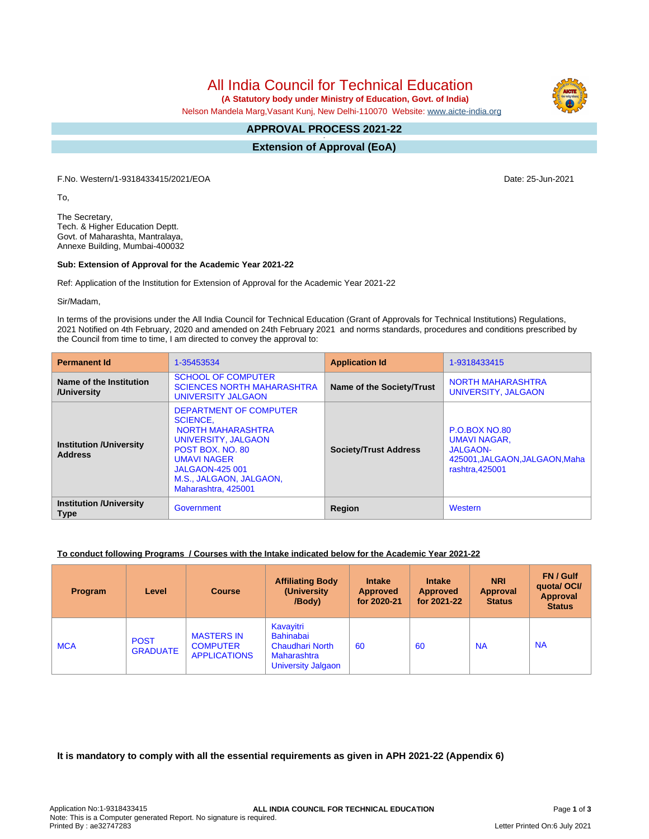All India Council for Technical Education

 **(A Statutory body under Ministry of Education, Govt. of India)**

Nelson Mandela Marg,Vasant Kunj, New Delhi-110070 Website: [www.aicte-india.org](http://www.aicte-india.org)

#### **APPROVAL PROCESS 2021-22 -**

**Extension of Approval (EoA)**

F.No. Western/1-9318433415/2021/EOA Date: 25-Jun-2021

To,

The Secretary, Tech. & Higher Education Deptt. Govt. of Maharashta, Mantralaya, Annexe Building, Mumbai-400032

#### **Sub: Extension of Approval for the Academic Year 2021-22**

Ref: Application of the Institution for Extension of Approval for the Academic Year 2021-22

Sir/Madam,

In terms of the provisions under the All India Council for Technical Education (Grant of Approvals for Technical Institutions) Regulations, 2021 Notified on 4th February, 2020 and amended on 24th February 2021 and norms standards, procedures and conditions prescribed by the Council from time to time, I am directed to convey the approval to:

| <b>Permanent Id</b>                              | 1-35453534                                                                                                                                                                                                  | <b>Application Id</b>        | 1-9318433415                                                                                                |  |
|--------------------------------------------------|-------------------------------------------------------------------------------------------------------------------------------------------------------------------------------------------------------------|------------------------------|-------------------------------------------------------------------------------------------------------------|--|
| Name of the Institution<br>/University           | <b>SCHOOL OF COMPUTER</b><br><b>SCIENCES NORTH MAHARASHTRA</b><br>UNIVERSITY JALGAON                                                                                                                        | Name of the Society/Trust    | <b>NORTH MAHARASHTRA</b><br>UNIVERSITY, JALGAON                                                             |  |
| <b>Institution /University</b><br><b>Address</b> | DEPARTMENT OF COMPUTER<br>SCIENCE.<br><b>NORTH MAHARASHTRA</b><br>UNIVERSITY, JALGAON<br>POST BOX, NO. 80<br><b>UMAVI NAGER</b><br><b>JALGAON-425 001</b><br>M.S., JALGAON, JALGAON,<br>Maharashtra, 425001 | <b>Society/Trust Address</b> | <b>P.O.BOX NO.80</b><br><b>UMAVI NAGAR.</b><br>JALGAON-<br>425001, JALGAON, JALGAON, Maha<br>rashtra.425001 |  |
| <b>Institution /University</b><br><b>Type</b>    | Government                                                                                                                                                                                                  | Region                       | Western                                                                                                     |  |

### **To conduct following Programs / Courses with the Intake indicated below for the Academic Year 2021-22**

| <b>Program</b> | Level                          | <b>Course</b>                                               | <b>Affiliating Body</b><br>(University)<br>/Body)                                                          | <b>Intake</b><br><b>Approved</b><br>for 2020-21 | <b>Intake</b><br><b>Approved</b><br>for 2021-22 | <b>NRI</b><br><b>Approval</b><br><b>Status</b> | FN / Gulf<br>quotal OCI/<br>Approval<br><b>Status</b> |
|----------------|--------------------------------|-------------------------------------------------------------|------------------------------------------------------------------------------------------------------------|-------------------------------------------------|-------------------------------------------------|------------------------------------------------|-------------------------------------------------------|
| <b>MCA</b>     | <b>POST</b><br><b>GRADUATE</b> | <b>MASTERS IN</b><br><b>COMPUTER</b><br><b>APPLICATIONS</b> | Kavayitri<br><b>Bahinabai</b><br><b>Chaudhari North</b><br><b>Maharashtra</b><br><b>University Jalgaon</b> | 60                                              | 60                                              | <b>NA</b>                                      | <b>NA</b>                                             |

**It is mandatory to comply with all the essential requirements as given in APH 2021-22 (Appendix 6)**

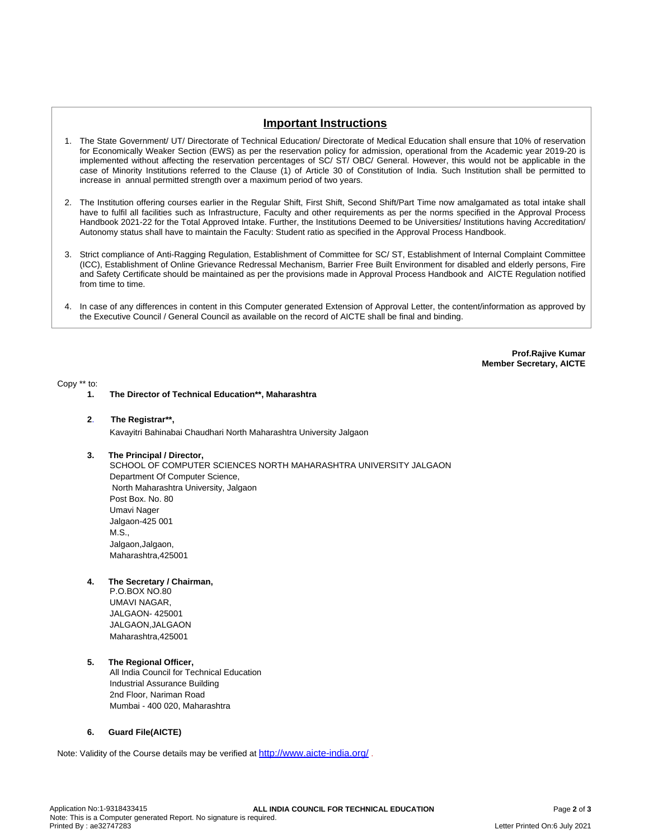# **Important Instructions**

- 1. The State Government/ UT/ Directorate of Technical Education/ Directorate of Medical Education shall ensure that 10% of reservation for Economically Weaker Section (EWS) as per the reservation policy for admission, operational from the Academic year 2019-20 is implemented without affecting the reservation percentages of SC/ ST/ OBC/ General. However, this would not be applicable in the case of Minority Institutions referred to the Clause (1) of Article 30 of Constitution of India. Such Institution shall be permitted to increase in annual permitted strength over a maximum period of two years.
- 2. The Institution offering courses earlier in the Regular Shift, First Shift, Second Shift/Part Time now amalgamated as total intake shall have to fulfil all facilities such as Infrastructure, Faculty and other requirements as per the norms specified in the Approval Process Handbook 2021-22 for the Total Approved Intake. Further, the Institutions Deemed to be Universities/ Institutions having Accreditation/ Autonomy status shall have to maintain the Faculty: Student ratio as specified in the Approval Process Handbook.
- 3. Strict compliance of Anti-Ragging Regulation, Establishment of Committee for SC/ ST, Establishment of Internal Complaint Committee (ICC), Establishment of Online Grievance Redressal Mechanism, Barrier Free Built Environment for disabled and elderly persons, Fire and Safety Certificate should be maintained as per the provisions made in Approval Process Handbook and AICTE Regulation notified from time to time.
- 4. In case of any differences in content in this Computer generated Extension of Approval Letter, the content/information as approved by the Executive Council / General Council as available on the record of AICTE shall be final and binding.

**Prof.Rajive Kumar Member Secretary, AICTE**

Copy \*\* to:

- **1. The Director of Technical Education\*\*, Maharashtra**
- **2**. **The Registrar\*\*,** Kavayitri Bahinabai Chaudhari North Maharashtra University Jalgaon
- **3. The Principal / Director,**

SCHOOL OF COMPUTER SCIENCES NORTH MAHARASHTRA UNIVERSITY JALGAON Department Of Computer Science, North Maharashtra University, Jalgaon Post Box. No. 80 Umavi Nager Jalgaon-425 001 M.S., Jalgaon,Jalgaon, Maharashtra,425001

**4. The Secretary / Chairman,**

P.O.BOX NO.80 UMAVI NAGAR, JALGAON- 425001 JALGAON,JALGAON Maharashtra,425001

**5. The Regional Officer,** All India Council for Technical Education Industrial Assurance Building 2nd Floor, Nariman Road Mumbai - 400 020, Maharashtra

## **6. Guard File(AICTE)**

Note: Validity of the Course details may be verified at <http://www.aicte-india.org/> **.**